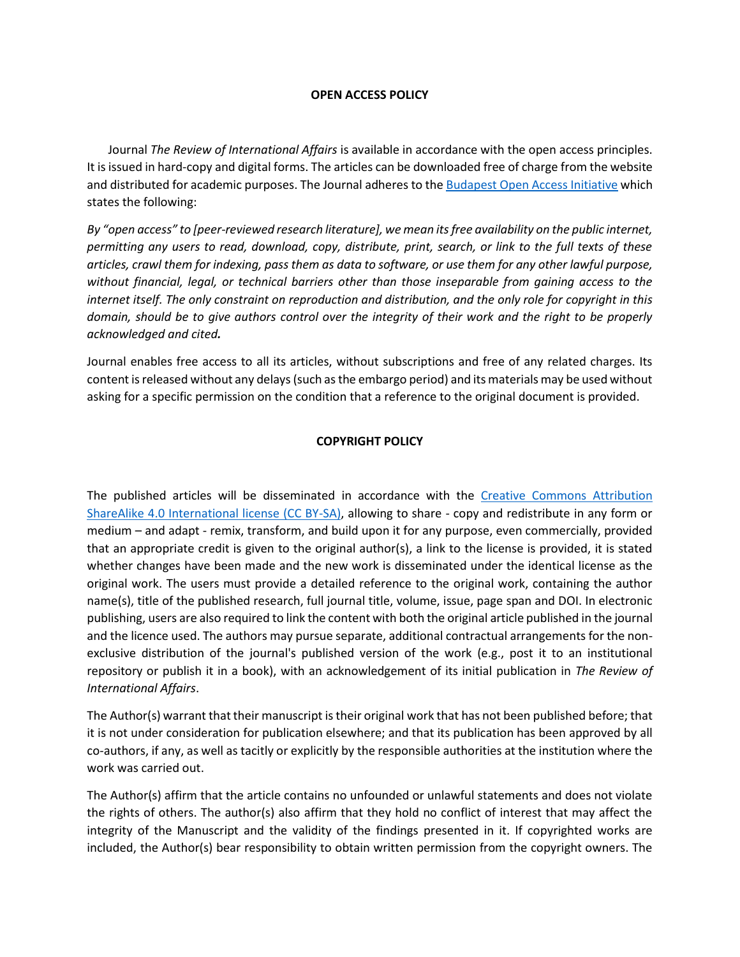## **OPEN ACCESS POLICY**

 Journal *The Review of International Affairs* is available in accordance with the open access principles. It is issued in hard-copy and digital forms. The articles can be downloaded free of charge from the website and distributed for academic purposes. The Journal adheres to the [Budapest Open Access Initiative](https://www.budapestopenaccessinitiative.org/boai10/) which states the following:

*By "open access" to [peer-reviewed research literature], we mean its free availability on the public internet, permitting any users to read, download, copy, distribute, print, search, or link to the full texts of these articles, crawl them for indexing, pass them as data to software, or use them for any other lawful purpose, without financial, legal, or technical barriers other than those inseparable from gaining access to the internet itself. The only constraint on reproduction and distribution, and the only role for copyright in this domain, should be to give authors control over the integrity of their work and the right to be properly acknowledged and cited.*

Journal enables free access to all its articles, without subscriptions and free of any related charges. Its content is released without any delays (such as the embargo period) and its materials may be used without asking for a specific permission on the condition that a reference to the original document is provided.

## **COPYRIGHT POLICY**

The published articles will be disseminated in accordance with the [Creative Commons Attribution](https://creativecommons.org/licenses/by-sa/4.0/)  [ShareAlike 4.0 International license \(CC BY-SA\),](https://creativecommons.org/licenses/by-sa/4.0/) allowing to share - copy and redistribute in any form or medium – and adapt - remix, transform, and build upon it for any purpose, even commercially, provided that an appropriate credit is given to the original author(s), a link to the license is provided, it is stated whether changes have been made and the new work is disseminated under the identical license as the original work. The users must provide a detailed reference to the original work, containing the author name(s), title of the published research, full journal title, volume, issue, page span and DOI. In electronic publishing, users are also required to link the content with both the original article published in the journal and the licence used. The authors may pursue separate, additional contractual arrangements for the nonexclusive distribution of the journal's published version of the work (e.g., post it to an institutional repository or publish it in a book), with an acknowledgement of its initial publication in *The Review of International Affairs*.

The Author(s) warrant that their manuscript is their original work that has not been published before; that it is not under consideration for publication elsewhere; and that its publication has been approved by all co-authors, if any, as well as tacitly or explicitly by the responsible authorities at the institution where the work was carried out.

The Author(s) affirm that the article contains no unfounded or unlawful statements and does not violate the rights of others. The author(s) also affirm that they hold no conflict of interest that may affect the integrity of the Manuscript and the validity of the findings presented in it. If copyrighted works are included, the Author(s) bear responsibility to obtain written permission from the copyright owners. The